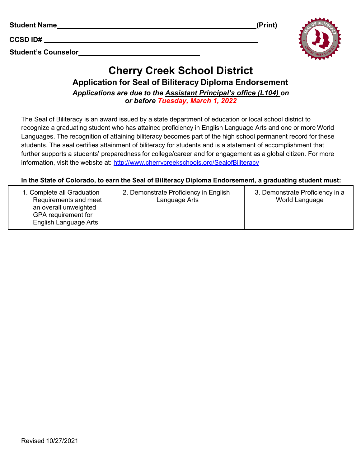| <b>Student Name</b> | (Print) |
|---------------------|---------|
|                     |         |

**CCSD ID#**

**Student's Counselor**





## **Cherry Creek School District Application for Seal of Biliteracy Diploma Endorsement**

*Applications are due to the Assistant Principal's office (L104) on or before Tuesday, March 1, 2022*

The Seal of Biliteracy is an award issued by a state department of education or local school district to recognize a graduating student who has attained proficiency in English Language Arts and one or more World Languages. The recognition of attaining biliteracy becomes part of the high school permanent record for these students. The seal certifies attainment of biliteracy for students and is a statement of accomplishment that further supports a students' preparedness for college/career and for engagement as a global citizen. For more information, visit the website at: <http://www.cherrycreekschools.org/SealofBiliteracy>

## **In the State of Colorado, to earn the Seal of Biliteracy Diploma Endorsement, a graduating student must:**

| 1. Complete all Graduation<br>Requirements and meet<br>an overall unweighted<br>GPA requirement for<br>English Language Arts | 2. Demonstrate Proficiency in English<br>Language Arts | 3. Demonstrate Proficiency in a<br>World Language |
|------------------------------------------------------------------------------------------------------------------------------|--------------------------------------------------------|---------------------------------------------------|
|------------------------------------------------------------------------------------------------------------------------------|--------------------------------------------------------|---------------------------------------------------|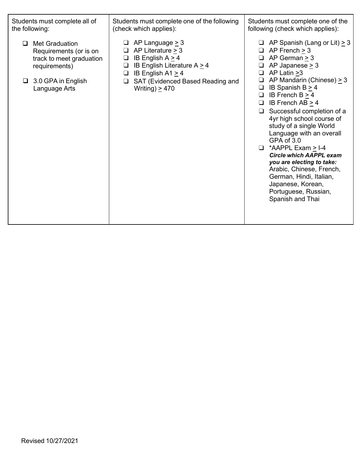| Students must complete all of<br>the following:                                                                                            | Students must complete one of the following<br>(check which applies):                                                                                                                                                   | Students must complete one of the<br>following (check which applies):                                                                                                                                                                                                                                                                                                                                                                                                                                                                                                                                                                                         |  |
|--------------------------------------------------------------------------------------------------------------------------------------------|-------------------------------------------------------------------------------------------------------------------------------------------------------------------------------------------------------------------------|---------------------------------------------------------------------------------------------------------------------------------------------------------------------------------------------------------------------------------------------------------------------------------------------------------------------------------------------------------------------------------------------------------------------------------------------------------------------------------------------------------------------------------------------------------------------------------------------------------------------------------------------------------------|--|
| <b>Met Graduation</b><br>Requirements (or is on<br>track to meet graduation<br>requirements)<br>$\Box$ 3.0 GPA in English<br>Language Arts | AP Language $\geq$ 3<br>AP Literature $> 3$<br>❏<br>IB English $A \ge 4$<br>❏<br>IB English Literature A $\geq$ 4<br>❏<br>IB English $A1 > 4$<br>$\Box$<br>SAT (Evidenced Based Reading and<br>❏<br>Writing) $\geq$ 470 | $\Box$ AP Spanish (Lang or Lit) $\geq$ 3<br>$AP$ French $>$ 3<br>$\Box$<br>AP German $\geq$ 3<br>$\Box$<br>$AP$ Japanese $> 3$<br>❏<br>AP Latin >3<br>$\Box$<br>AP Mandarin (Chinese) $\geq$ 3<br>IB Spanish B $\geq$ 4<br>⊔<br>IB French $B \ge 4$<br>$\Box$<br>$\Box$ IB French AB $\geq$ 4<br>Successful completion of a<br>$\Box$<br>4yr high school course of<br>study of a single World<br>Language with an overall<br>GPA of 3.0<br>*AAPPL Exam > I-4<br>$\Box$<br><b>Circle which AAPPL exam</b><br>you are electing to take:<br>Arabic, Chinese, French,<br>German, Hindi, Italian,<br>Japanese, Korean,<br>Portuguese, Russian,<br>Spanish and Thai |  |